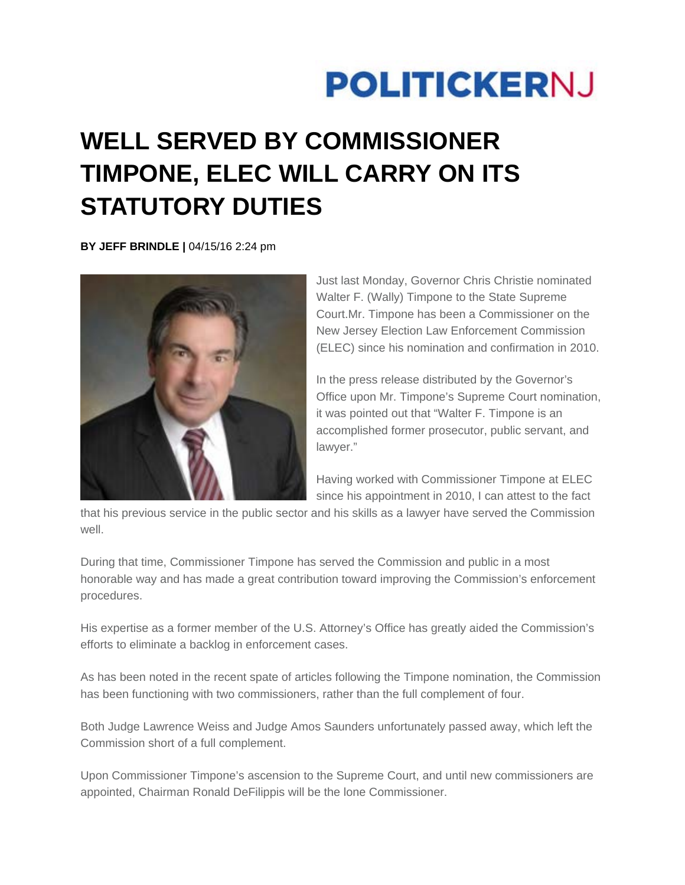## **POLITICKERNJ**

## **WELL SERVED BY COMMISSIONER TIMPONE, ELEC WILL CARRY ON ITS STATUTORY DUTIES**

**BY JEFF BRINDLE |** 04/15/16 2:24 pm



Just last Monday, Governor Chris Christie nominated Walter F. (Wally) Timpone to the State Supreme Court.Mr. Timpone has been a Commissioner on the New Jersey Election Law Enforcement Commission (ELEC) since his nomination and confirmation in 2010.

In the press release distributed by the Governor's Office upon Mr. Timpone's Supreme Court nomination, it was pointed out that "Walter F. Timpone is an accomplished former prosecutor, public servant, and lawyer."

Having worked with Commissioner Timpone at ELEC since his appointment in 2010, I can attest to the fact

that his previous service in the public sector and his skills as a lawyer have served the Commission well.

During that time, Commissioner Timpone has served the Commission and public in a most honorable way and has made a great contribution toward improving the Commission's enforcement procedures.

His expertise as a former member of the U.S. Attorney's Office has greatly aided the Commission's efforts to eliminate a backlog in enforcement cases.

As has been noted in the recent spate of articles following the Timpone nomination, the Commission has been functioning with two commissioners, rather than the full complement of four.

Both Judge Lawrence Weiss and Judge Amos Saunders unfortunately passed away, which left the Commission short of a full complement.

Upon Commissioner Timpone's ascension to the Supreme Court, and until new commissioners are appointed, Chairman Ronald DeFilippis will be the lone Commissioner.